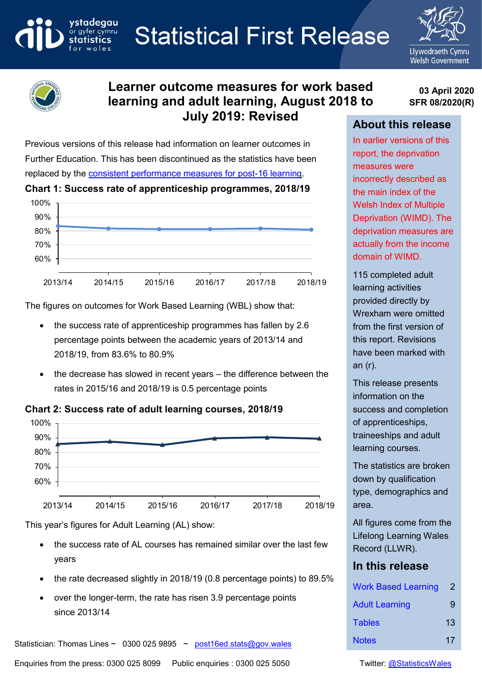**Statistical First Release** 





ystadegau

ar gyfer cymru

# **Learner outcome measures for work based learning and adult learning, August 2018 to July 2019: Revised**

**03 April 2020 SFR 08/2020(R)**

# **About this release**

Previous versions of this release had information on learner outcomes in Further Education. This has been discontinued as the statistics have been replaced by the [consistent performance measures for post-16 learning.](https://gov.wales/consistent-performance-measures-post-16-learning-achievement-and-value-added)

#### **Chart 1: Success rate of apprenticeship programmes, 2018/19**



The figures on outcomes for Work Based Learning (WBL) show that:

- the success rate of apprenticeship programmes has fallen by 2.6 percentage points between the academic years of 2013/14 and 2018/19, from 83.6% to 80.9%
- the decrease has slowed in recent years the difference between the rates in 2015/16 and 2018/19 is 0.5 percentage points

### **Chart 2: Success rate of adult learning courses, 2018/19**



This year's figures for Adult Learning (AL) show:

- the success rate of AL courses has remained similar over the last few years
- the rate decreased slightly in 2018/19 (0.8 percentage points) to 89.5%
- over the longer-term, the rate has risen 3.9 percentage points since 2013/14

Statistician: Thomas Lines ~ 0300 025 9895 ~ post16ed.stats@gov.wales

In earlier versions of this report, the deprivation measures were incorrectly described as the main index of the Welsh Index of Multiple Deprivation (WIMD). The deprivation measures are actually from the income domain of WIMD.

115 completed adult learning activities provided directly by Wrexham were omitted from the first version of this report. Revisions have been marked with an (r).

This release presents information on the success and completion of apprenticeships, traineeships and adult learning courses.

The statistics are broken down by qualification type, demographics and area.

All figures come from the Lifelong Learning Wales Record (LLWR).

# **In this release**

| <b>Work Based Learning</b> | 2  |
|----------------------------|----|
| <b>Adult Learning</b>      | 9  |
| <b>Tables</b>              | 13 |
| <b>Notes</b>               | 17 |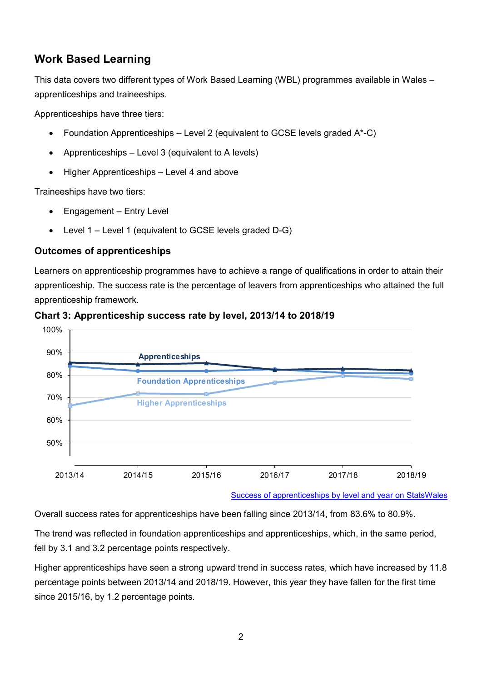# <span id="page-1-0"></span>**Work Based Learning**

This data covers two different types of Work Based Learning (WBL) programmes available in Wales – apprenticeships and traineeships.

Apprenticeships have three tiers:

- Foundation Apprenticeships Level 2 (equivalent to GCSE levels graded A\*-C)
- Apprenticeships Level 3 (equivalent to A levels)
- Higher Apprenticeships Level 4 and above

Traineeships have two tiers:

- Engagement Entry Level
- Level 1 Level 1 (equivalent to GCSE levels graded D-G)

#### **Outcomes of apprenticeships**

Learners on apprenticeship programmes have to achieve a range of qualifications in order to attain their apprenticeship. The success rate is the percentage of leavers from apprenticeships who attained the full apprenticeship framework.



#### **Chart 3: Apprenticeship success rate by level, 2013/14 to 2018/19**

Overall success rates for apprenticeships have been falling since 2013/14, from 83.6% to 80.9%.

The trend was reflected in foundation apprenticeships and apprenticeships, which, in the same period, fell by 3.1 and 3.2 percentage points respectively.

Higher apprenticeships have seen a strong upward trend in success rates, which have increased by 11.8 percentage points between 2013/14 and 2018/19. However, this year they have fallen for the first time since 2015/16, by 1.2 percentage points.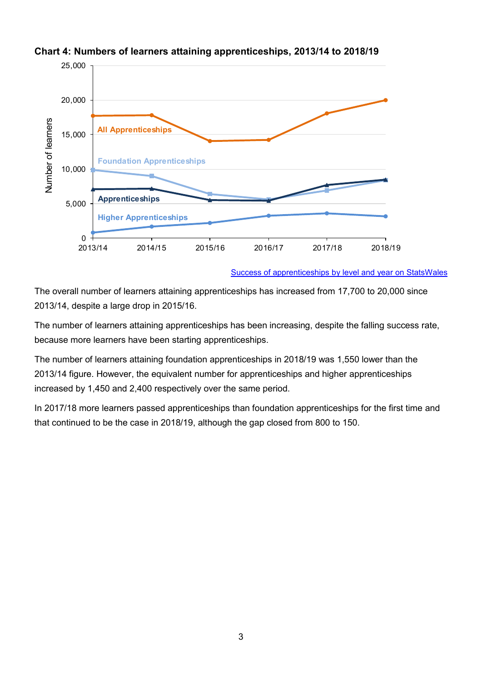

#### **Chart 4: Numbers of learners attaining apprenticeships, 2013/14 to 2018/19**

[Success of apprenticeships by level and year on StatsWales](https://statswales.gov.wales/Catalogue/Education-and-Skills/Post-16-Education-and-Training/Further-Education-and-Work-Based-Learning/Outcomes/Work-Based-Learning/successapprenticeships-by-level-year)

The overall number of learners attaining apprenticeships has increased from 17,700 to 20,000 since 2013/14, despite a large drop in 2015/16.

The number of learners attaining apprenticeships has been increasing, despite the falling success rate, because more learners have been starting apprenticeships.

The number of learners attaining foundation apprenticeships in 2018/19 was 1,550 lower than the 2013/14 figure. However, the equivalent number for apprenticeships and higher apprenticeships increased by 1,450 and 2,400 respectively over the same period.

In 2017/18 more learners passed apprenticeships than foundation apprenticeships for the first time and that continued to be the case in 2018/19, although the gap closed from 800 to 150.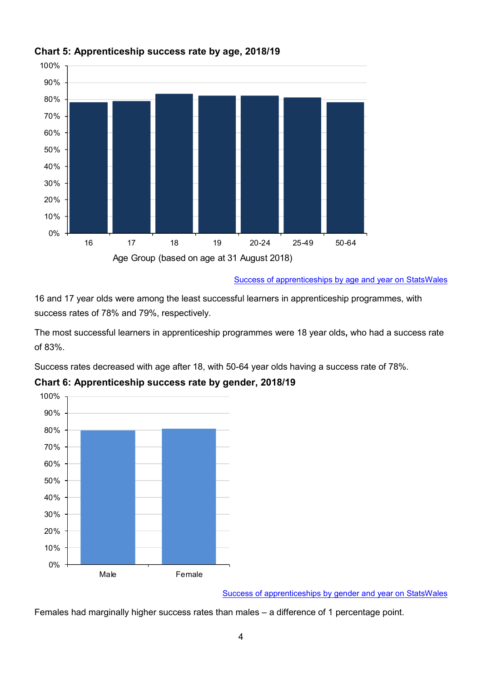

# **Chart 5: Apprenticeship success rate by age, 2018/19**

[Success of apprenticeships by age and year on](https://statswales.gov.wales/Catalogue/Education-and-Skills/Post-16-Education-and-Training/Further-Education-and-Work-Based-Learning/Outcomes/Work-Based-Learning/successapprenticeships-by-age-year) StatsWales

16 and 17 year olds were among the least successful learners in apprenticeship programmes, with success rates of 78% and 79%, respectively.

The most successful learners in apprenticeship programmes were 18 year olds**,** who had a success rate of 83%.

Success rates decreased with age after 18, with 50-64 year olds having a success rate of 78%.



**Chart 6: Apprenticeship success rate by gender, 2018/19**

[Success of apprenticeships by gender](https://statswales.gov.wales/Catalogue/Education-and-Skills/Post-16-Education-and-Training/Further-Education-and-Work-Based-Learning/Outcomes/Work-Based-Learning/successapprenticeships-by-gender-year) and year on StatsWales

Females had marginally higher success rates than males – a difference of 1 percentage point.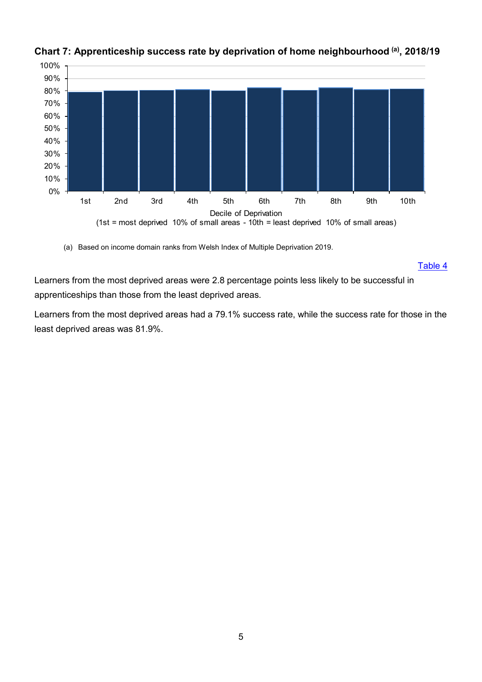

# **Chart 7: Apprenticeship success rate by deprivation of home neighbourhood (a), 2018/19**

(a) Based on income domain ranks from Welsh Index of Multiple Deprivation 2019.

Table 4

Learners from the most deprived areas were 2.8 percentage points less likely to be successful in apprenticeships than those from the least deprived areas.

Learners from the most deprived areas had a 79.1% success rate, while the success rate for those in the least deprived areas was 81.9%.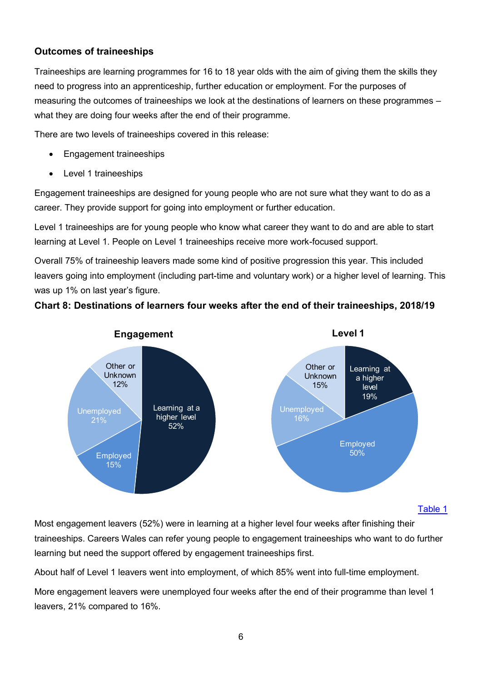### **Outcomes of traineeships**

Traineeships are learning programmes for 16 to 18 year olds with the aim of giving them the skills they need to progress into an apprenticeship, further education or employment. For the purposes of measuring the outcomes of traineeships we look at the destinations of learners on these programmes – what they are doing four weeks after the end of their programme.

There are two levels of traineeships covered in this release:

- Engagement traineeships
- Level 1 traineeships

Engagement traineeships are designed for young people who are not sure what they want to do as a career. They provide support for going into employment or further education.

Level 1 traineeships are for young people who know what career they want to do and are able to start learning at Level 1. People on Level 1 traineeships receive more work-focused support.

Overall 75% of traineeship leavers made some kind of positive progression this year. This included leavers going into employment (including part-time and voluntary work) or a higher level of learning. This was up 1% on last year's figure.

### **Chart 8: Destinations of learners four weeks after the end of their traineeships, 2018/19**



#### Table 1

Most engagement leavers (52%) were in learning at a higher level four weeks after finishing their traineeships. Careers Wales can refer young people to engagement traineeships who want to do further learning but need the support offered by engagement traineeships first.

About half of Level 1 leavers went into employment, of which 85% went into full-time employment.

More engagement leavers were unemployed four weeks after the end of their programme than level 1 leavers, 21% compared to 16%.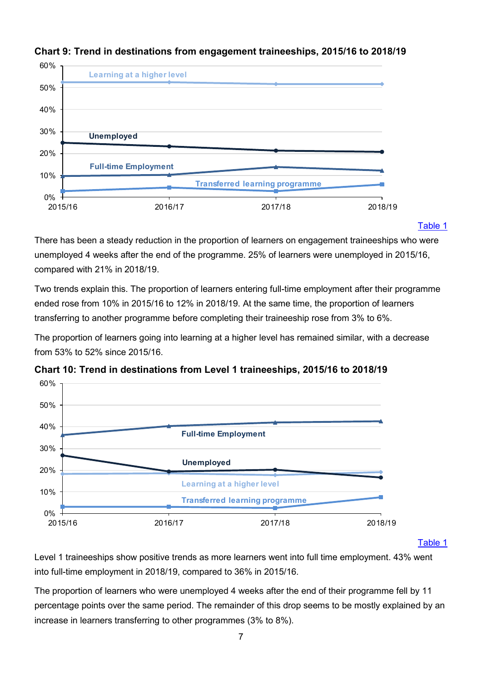

### **Chart 9: Trend in destinations from engagement traineeships, 2015/16 to 2018/19**

#### Table 1

There has been a steady reduction in the proportion of learners on engagement traineeships who were unemployed 4 weeks after the end of the programme. 25% of learners were unemployed in 2015/16, compared with 21% in 2018/19.

Two trends explain this. The proportion of learners entering full-time employment after their programme ended rose from 10% in 2015/16 to 12% in 2018/19. At the same time, the proportion of learners transferring to another programme before completing their traineeship rose from 3% to 6%.

The proportion of learners going into learning at a higher level has remained similar, with a decrease from 53% to 52% since 2015/16.



**Chart 10: Trend in destinations from Level 1 traineeships, 2015/16 to 2018/19**

Table 1

Level 1 traineeships show positive trends as more learners went into full time employment. 43% went into full-time employment in 2018/19, compared to 36% in 2015/16.

The proportion of learners who were unemployed 4 weeks after the end of their programme fell by 11 percentage points over the same period. The remainder of this drop seems to be mostly explained by an increase in learners transferring to other programmes (3% to 8%).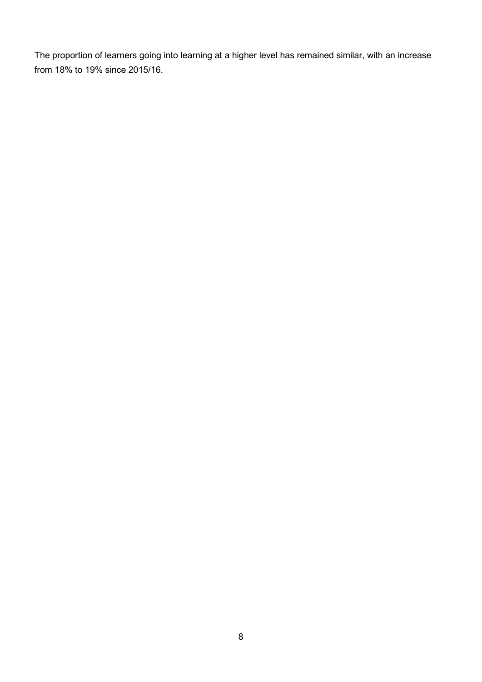The proportion of learners going into learning at a higher level has remained similar, with an increase from 18% to 19% since 2015/16.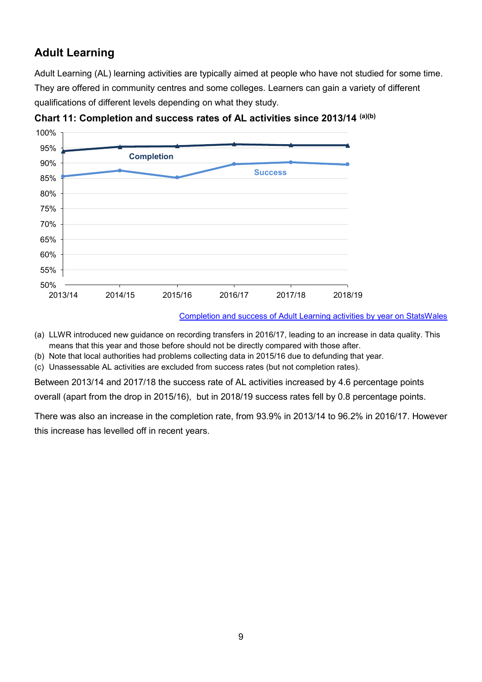# <span id="page-8-0"></span>**Adult Learning**

Adult Learning (AL) learning activities are typically aimed at people who have not studied for some time. They are offered in community centres and some colleges. Learners can gain a variety of different qualifications of different levels depending on what they study.



**Chart 11: Completion and success rates of AL activities since 2013/14 (a)(b)**

[Completion and success of Adult Learning activities by year on StatsWales](https://statswales.gov.wales/Catalogue/Education-and-Skills/Post-16-Education-and-Training/Further-Education-and-Work-Based-Learning/Outcomes/Adult-Learning/completionsuccessadultlearningactivities-by-year)

- (a) LLWR introduced new guidance on recording transfers in 2016/17, leading to an increase in data quality. This means that this year and those before should not be directly compared with those after.
- (b) Note that local authorities had problems collecting data in 2015/16 due to defunding that year.
- (c) Unassessable AL activities are excluded from success rates (but not completion rates).

Between 2013/14 and 2017/18 the success rate of AL activities increased by 4.6 percentage points

overall (apart from the drop in 2015/16), but in 2018/19 success rates fell by 0.8 percentage points.

There was also an increase in the completion rate, from 93.9% in 2013/14 to 96.2% in 2016/17. However this increase has levelled off in recent years.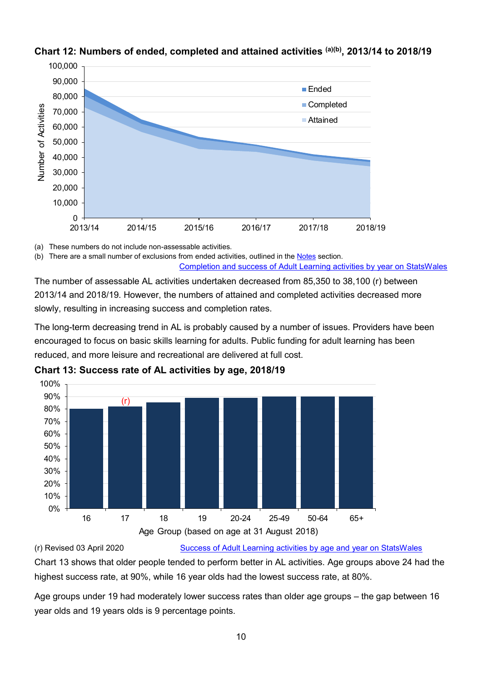

#### **Chart 12: Numbers of ended, completed and attained activities (a)(b), 2013/14 to 2018/19**

(a) These numbers do not include non-assessable activities.

(b) There are a small number of exclusions from ended activities, outlined in th[e Notes](#page-1-0) section. [Completion and success of Adult Learning activities by year on StatsWales](https://statswales.gov.wales/Catalogue/Education-and-Skills/Post-16-Education-and-Training/Further-Education-and-Work-Based-Learning/Outcomes/Adult-Learning/completionsuccessadultlearningactivities-by-year)

The number of assessable AL activities undertaken decreased from 85,350 to 38,100 (r) between 2013/14 and 2018/19. However, the numbers of attained and completed activities decreased more slowly, resulting in increasing success and completion rates.

The long-term decreasing trend in AL is probably caused by a number of issues. Providers have been encouraged to focus on basic skills learning for adults. Public funding for adult learning has been reduced, and more leisure and recreational are delivered at full cost.



**Chart 13: Success rate of AL activities by age, 2018/19**

### (r) Revised 03 April 2020 [Success of Adult Learning activities by age and year on StatsWales](https://statswales.gov.wales/Catalogue/Education-and-Skills/Post-16-Education-and-Training/Further-Education-and-Work-Based-Learning/Outcomes/Adult-Learning/successadultlearningactivities-by-age-year)

Chart 13 shows that older people tended to perform better in AL activities. Age groups above 24 had the highest success rate, at 90%, while 16 year olds had the lowest success rate, at 80%.

Age groups under 19 had moderately lower success rates than older age groups – the gap between 16 year olds and 19 years olds is 9 percentage points.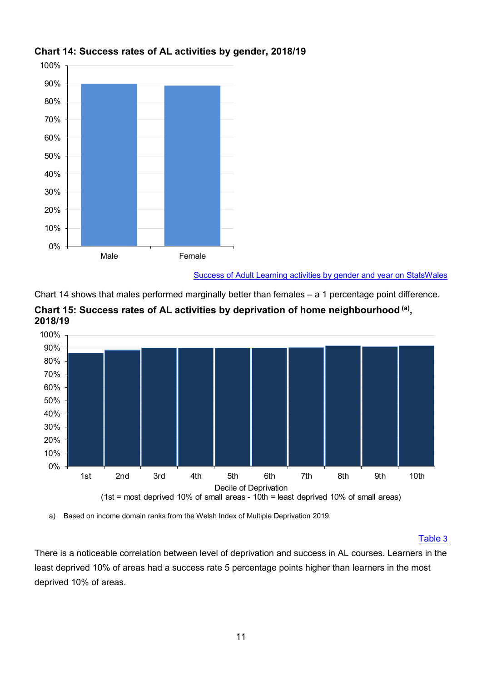

### **Chart 14: Success rates of AL activities by gender, 2018/19**

[Success of Adult Learning activities by gender and year on StatsWales](https://statswales.gov.wales/Catalogue/Education-and-Skills/Post-16-Education-and-Training/Further-Education-and-Work-Based-Learning/Outcomes/Adult-Learning/successadultlearningactivities-by-gender-year)

Chart 14 shows that males performed marginally better than females – a 1 percentage point difference.





a) Based on income domain ranks from the Welsh Index of Multiple Deprivation 2019.

#### Table 3

There is a noticeable correlation between level of deprivation and success in AL courses. Learners in the least deprived 10% of areas had a success rate 5 percentage points higher than learners in the most deprived 10% of areas.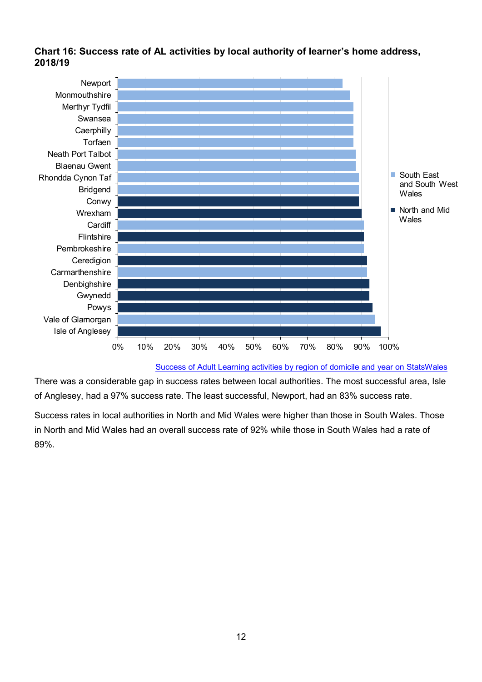#### **Chart 16: Success rate of AL activities by local authority of learner's home address, 2018/19**



[Success of Adult Learning activities by region of domicile and year on StatsWales](https://statswales.gov.wales/Catalogue/Education-and-Skills/Post-16-Education-and-Training/Further-Education-and-Work-Based-Learning/Outcomes/Adult-Learning/successadultlearningactivities-by-regiondomicile-year)

There was a considerable gap in success rates between local authorities. The most successful area, Isle of Anglesey, had a 97% success rate. The least successful, Newport, had an 83% success rate.

Success rates in local authorities in North and Mid Wales were higher than those in South Wales. Those in North and Mid Wales had an overall success rate of 92% while those in South Wales had a rate of 89%.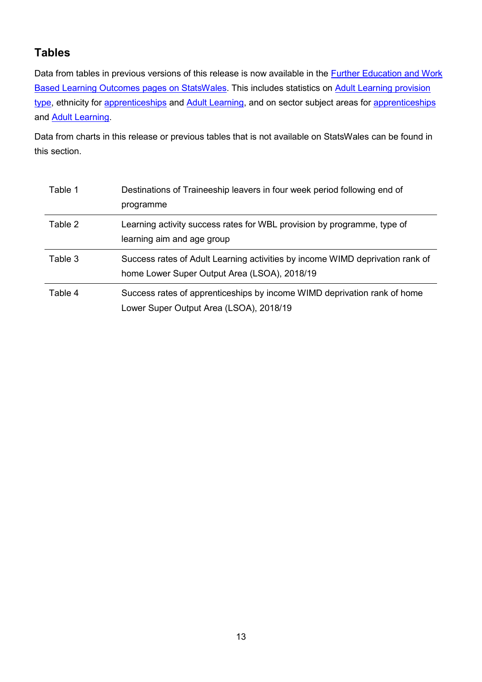# **Tables**

Data from tables in previous versions of this release is now available in the **Further Education and Work** [Based Learning Outcomes pages on StatsWales.](https://statswales.gov.wales/Catalogue/Education-and-Skills/Post-16-Education-and-Training/Further-Education-and-Work-Based-Learning/Outcomes) This includes statistics on [Adult Learning provision](https://statswales.gov.wales/Catalogue/Education-and-Skills/Post-16-Education-and-Training/Further-Education-and-Work-Based-Learning/Outcomes/Adult-Learning/completionsuccessadultlearningactivities-by-typeprovision-level)  [type,](https://statswales.gov.wales/Catalogue/Education-and-Skills/Post-16-Education-and-Training/Further-Education-and-Work-Based-Learning/Outcomes/Adult-Learning/completionsuccessadultlearningactivities-by-typeprovision-level) ethnicity for [apprenticeships](https://statswales.gov.wales/Catalogue/Education-and-Skills/Post-16-Education-and-Training/Further-Education-and-Work-Based-Learning/Outcomes/Work-Based-Learning/successapprenticeships-by-ethnicity-year) and [Adult Learning,](https://statswales.gov.wales/Catalogue/Education-and-Skills/Post-16-Education-and-Training/Further-Education-and-Work-Based-Learning/Outcomes/Adult-Learning/successadultlearningactivities-by-ethnicity-year) and on sector subject areas for [apprenticeships](https://statswales.gov.wales/Catalogue/Education-and-Skills/Post-16-Education-and-Training/Further-Education-and-Work-Based-Learning/Outcomes/Work-Based-Learning/successapprenticeships-by-sectorsubjectarea-level) and [Adult Learning.](https://statswales.gov.wales/Catalogue/Education-and-Skills/Post-16-Education-and-Training/Further-Education-and-Work-Based-Learning/Outcomes/Adult-Learning/successadultlearningactivities-by-sectorsubjectarea-qualificationlevel)

Data from charts in this release or previous tables that is not available on StatsWales can be found in this section.

| Table 1 | Destinations of Traineeship leavers in four week period following end of<br>programme                                         |
|---------|-------------------------------------------------------------------------------------------------------------------------------|
| Table 2 | Learning activity success rates for WBL provision by programme, type of<br>learning aim and age group                         |
| Table 3 | Success rates of Adult Learning activities by income WIMD deprivation rank of<br>home Lower Super Output Area (LSOA), 2018/19 |
| Table 4 | Success rates of apprenticeships by income WIMD deprivation rank of home<br>Lower Super Output Area (LSOA), 2018/19           |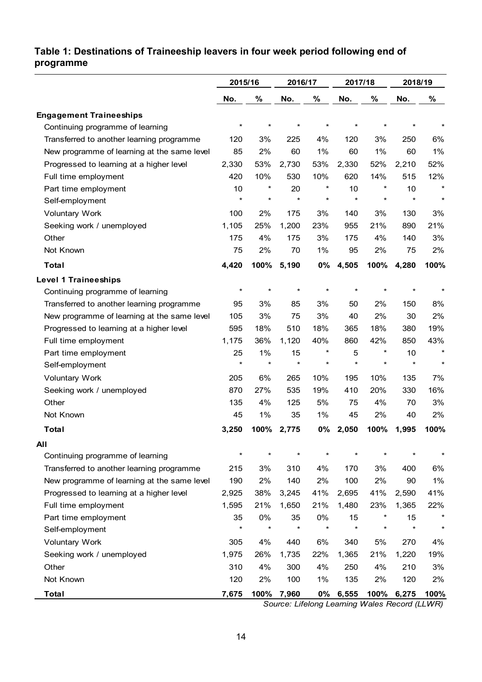# **Table 1: Destinations of Traineeship leavers in four week period following end of programme**

|                                             | 2015/16  |          | 2016/17 |          | 2017/18 |          | 2018/19    |          |
|---------------------------------------------|----------|----------|---------|----------|---------|----------|------------|----------|
|                                             | No.      | %        | No.     | %        | No.     | %        | No.        | %        |
| <b>Engagement Traineeships</b>              |          |          |         |          |         |          |            |          |
| Continuing programme of learning            | $^\star$ | $\star$  | $\star$ | $\star$  |         |          | *          |          |
| Transferred to another learning programme   | 120      | 3%       | 225     | 4%       | 120     | 3%       | 250        | 6%       |
| New programme of learning at the same level | 85       | 2%       | 60      | 1%       | 60      | 1%       | 60         | 1%       |
| Progressed to learning at a higher level    | 2,330    | 53%      | 2,730   | 53%      | 2,330   | 52%      | 2,210      | 52%      |
| Full time employment                        | 420      | 10%      | 530     | 10%      | 620     | 14%      | 515        | 12%      |
| Part time employment                        | 10       | $^\star$ | 20      | $\ast$   | 10      |          | 10         | $\star$  |
| Self-employment                             | $\star$  | $\star$  | $\star$ | $\star$  | $\star$ | $\star$  | $\star$    | $\star$  |
| <b>Voluntary Work</b>                       | 100      | 2%       | 175     | 3%       | 140     | 3%       | 130        | 3%       |
| Seeking work / unemployed                   | 1,105    | 25%      | 1,200   | 23%      | 955     | 21%      | 890        | 21%      |
| Other                                       | 175      | 4%       | 175     | 3%       | 175     | 4%       | 140        | 3%       |
| Not Known                                   | 75       | 2%       | 70      | 1%       | 95      | 2%       | 75         | 2%       |
| <b>Total</b>                                | 4,420    | 100%     | 5,190   | 0%       | 4,505   | 100%     | 4,280      | 100%     |
| <b>Level 1 Traineeships</b>                 |          |          |         |          |         |          |            |          |
| Continuing programme of learning            | $\star$  | $\star$  | $\star$ | $\star$  | $\star$ |          | $\star$    |          |
| Transferred to another learning programme   | 95       | 3%       | 85      | 3%       | 50      | 2%       | 150        | 8%       |
| New programme of learning at the same level | 105      | 3%       | 75      | 3%       | 40      | 2%       | 30         | 2%       |
| Progressed to learning at a higher level    | 595      | 18%      | 510     | 18%      | 365     | 18%      | 380        | 19%      |
| Full time employment                        | 1,175    | 36%      | 1,120   | 40%      | 860     | 42%      | 850        | 43%      |
| Part time employment                        | 25       | 1%       | 15      | $^\star$ | 5       | $^\star$ | 10         | $\star$  |
| Self-employment                             | $\star$  | $\star$  | $\star$ | $\star$  | $\star$ | $\star$  | $\star$    | $\star$  |
| <b>Voluntary Work</b>                       | 205      | 6%       | 265     | 10%      | 195     | 10%      | 135        | 7%       |
| Seeking work / unemployed                   | 870      | 27%      | 535     | 19%      | 410     | 20%      | 330        | 16%      |
| Other                                       | 135      | 4%       | 125     | 5%       | 75      | 4%       | 70         | 3%       |
| Not Known                                   | 45       | 1%       | 35      | 1%       | 45      | 2%       | 40         | 2%       |
| <b>Total</b>                                | 3,250    | 100%     | 2,775   | 0%       | 2,050   | 100%     | 1,995      | 100%     |
| All                                         |          |          |         |          |         |          |            |          |
| Continuing programme of learning            | $\star$  | $\star$  |         | $\star$  | $\star$ |          |            |          |
| Transferred to another learning programme   | 215      | 3%       | 310     | 4%       | 170     | 3%       | 400        | 6%       |
| New programme of learning at the same level | 190      | 2%       | 140     | 2%       | 100     | 2%       | 90         | 1%       |
| Progressed to learning at a higher level    | 2,925    | 38%      | 3,245   | 41%      | 2,695   | 41%      | 2,590      | 41%      |
| Full time employment                        | 1,595    | 21%      | 1,650   | 21%      | 1,480   | 23%      | 1,365      | 22%      |
| Part time employment                        | 35       | 0%       | 35      | 0%       | 15      |          | 15         | $^\star$ |
| Self-employment                             | $\star$  | $\star$  | $\star$ | $\star$  | $\star$ | $^\star$ | $\star$    | $\star$  |
| <b>Voluntary Work</b>                       | 305      | 4%       | 440     | 6%       | 340     | 5%       | 270        | 4%       |
| Seeking work / unemployed                   | 1,975    | 26%      | 1,735   | 22%      | 1,365   | 21%      | 1,220      | 19%      |
| Other                                       | 310      | 4%       | 300     | 4%       | 250     | 4%       | 210        | 3%       |
| Not Known                                   | 120      | 2%       | 100     | 1%       | 135     | 2%       | 120        | 2%       |
| <b>Total</b>                                | 7,675    | 100%     | 7,960   | 0%       | 6,555   |          | 100% 6,275 | 100%     |

*Source: Lifelong Learning Wales Record (LLWR)*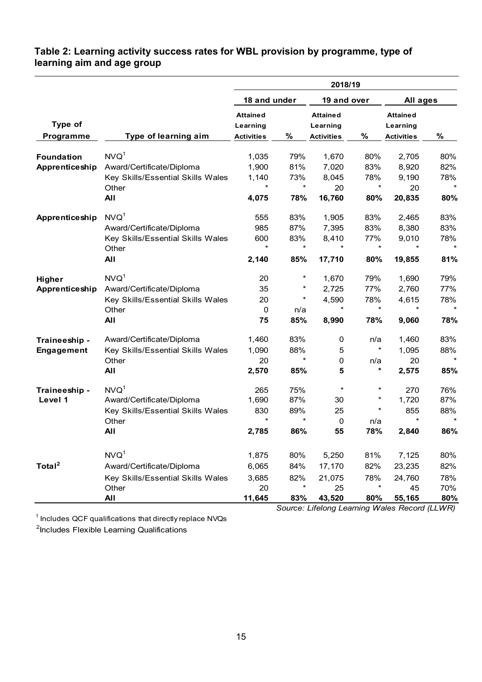### **Table 2: Learning activity success rates for WBL provision by programme, type of learning aim and age group**

|                      |                                   |                                                  |         | 2018/19                                          |          |                                                  |         |  |
|----------------------|-----------------------------------|--------------------------------------------------|---------|--------------------------------------------------|----------|--------------------------------------------------|---------|--|
|                      |                                   | 18 and under                                     |         | 19 and over                                      |          | All ages                                         |         |  |
| Type of<br>Programme | Type of learning aim              | <b>Attained</b><br>Learning<br><b>Activities</b> | %       | <b>Attained</b><br>Learning<br><b>Activities</b> | %        | <b>Attained</b><br>Learning<br><b>Activities</b> | %       |  |
| <b>Foundation</b>    | NVO <sup>1</sup>                  | 1,035                                            | 79%     | 1,670                                            | 80%      | 2,705                                            | 80%     |  |
| Apprenticeship       | Award/Certificate/Diploma         | 1,900                                            | 81%     | 7,020                                            | 83%      | 8,920                                            | 82%     |  |
|                      | Key Skills/Essential Skills Wales | 1,140                                            | 73%     | 8,045                                            | 78%      | 9,190                                            | 78%     |  |
|                      | Other                             | *                                                | $\star$ | 20                                               | $\star$  | 20                                               | $\star$ |  |
|                      | All                               | 4,075                                            | 78%     | 16,760                                           | 80%      | 20,835                                           | 80%     |  |
| Apprenticeship       | NVO <sup>1</sup>                  | 555                                              | 83%     | 1,905                                            | 83%      | 2,465                                            | 83%     |  |
|                      | Award/Certificate/Diploma         | 985                                              | 87%     | 7,395                                            | 83%      | 8,380                                            | 83%     |  |
|                      | Key Skills/Essential Skills Wales | 600                                              | 83%     | 8,410                                            | 77%      | 9,010                                            | 78%     |  |
|                      | Other                             | *                                                | $\star$ |                                                  | $\star$  |                                                  | $\star$ |  |
|                      | All                               | 2,140                                            | 85%     | 17,710                                           | 80%      | 19,855                                           | 81%     |  |
| Higher               | NVO <sup>1</sup>                  | 20                                               | $\ast$  | 1,670                                            | 79%      | 1,690                                            | 79%     |  |
| Apprenticeship       | Award/Certificate/Diploma         | 35                                               | $\ast$  | 2,725                                            | 77%      | 2,760                                            | 77%     |  |
|                      | Key Skills/Essential Skills Wales | 20                                               | $\star$ | 4,590                                            | 78%      | 4,615                                            | 78%     |  |
|                      | Other                             | 0                                                | n/a     | $\star$                                          | $\star$  | $\star$                                          | $\star$ |  |
|                      | All                               | 75                                               | 85%     | 8,990                                            | 78%      | 9,060                                            | 78%     |  |
| Traineeship -        | Award/Certificate/Diploma         | 1,460                                            | 83%     | 0                                                | n/a      | 1,460                                            | 83%     |  |
| Engagement           | Key Skills/Essential Skills Wales | 1,090                                            | 88%     | 5                                                | $^\star$ | 1,095                                            | 88%     |  |
|                      | Other                             | 20                                               | $\star$ | 0                                                | n/a      | 20                                               | $\star$ |  |
|                      | All                               | 2,570                                            | 85%     | 5                                                | *        | 2,575                                            | 85%     |  |
| Traineeship -        | NVO <sup>1</sup>                  | 265                                              | 75%     | $\star$                                          | $^\star$ | 270                                              | 76%     |  |
| Level 1              | Award/Certificate/Diploma         | 1,690                                            | 87%     | 30                                               | $^\star$ | 1,720                                            | 87%     |  |
|                      | Key Skills/Essential Skills Wales | 830                                              | 89%     | 25                                               | $^\star$ | 855                                              | 88%     |  |
|                      | Other                             | *                                                | $\star$ | $\mathbf 0$                                      | n/a      | $\star$                                          | $\star$ |  |
|                      | All                               | 2,785                                            | 86%     | 55                                               | 78%      | 2,840                                            | 86%     |  |
|                      | NVO <sup>1</sup>                  | 1,875                                            | 80%     | 5,250                                            | 81%      | 7,125                                            | 80%     |  |
| Total <sup>2</sup>   | Award/Certificate/Diploma         | 6,065                                            | 84%     | 17,170                                           | 82%      | 23,235                                           | 82%     |  |
|                      | Key Skills/Essential Skills Wales | 3,685                                            | 82%     | 21,075                                           | 78%      | 24,760                                           | 78%     |  |
|                      | Other                             | 20                                               | $\star$ | 25                                               | $\star$  | 45                                               | 70%     |  |
|                      | <b>All</b>                        | 11,645                                           | 83%     | 43,520                                           | 80%      | 55,165                                           | 80%     |  |

 $^\text{1}$  Includes QCF qualifications that directly replace NVQs

<sup>2</sup>Includes Flexible Learning Qualifications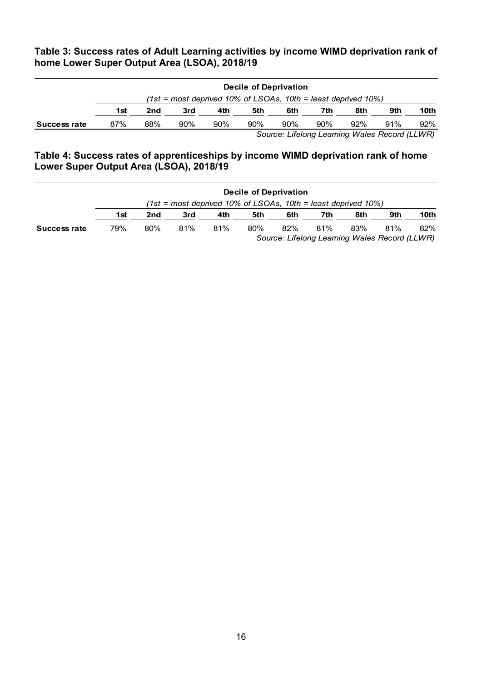### **Table 3: Success rates of Adult Learning activities by income WIMD deprivation rank of home Lower Super Output Area (LSOA), 2018/19**

|              | Decile of Deprivation |                                                                 |     |     |     |     |     |     |                                                |        |  |
|--------------|-----------------------|-----------------------------------------------------------------|-----|-----|-----|-----|-----|-----|------------------------------------------------|--------|--|
|              |                       | $(1st = most$ deprived 10% of LSOAs, 10th = least deprived 10%) |     |     |     |     |     |     |                                                |        |  |
|              | 1st                   | 2nd                                                             | 3rd | 4th | 5th | 6th | 7th | 8th | 9th                                            | 10th   |  |
| Success rate | 87%                   | 88%                                                             | 90% | 90% | 90% | 90% | 90% | 92% | 91%                                            | $92\%$ |  |
|              |                       |                                                                 |     |     |     |     |     |     | Course, Lifelene Loomine Moles Desembel (LIMP) |        |  |

*Source: Lifelong Learning Wales Record (LLWR)*

#### **Table 4: Success rates of apprenticeships by income WIMD deprivation rank of home Lower Super Output Area (LSOA), 2018/19**

|              | Decile of Deprivation                                           |     |     |     |     |     |     |     |     |      |  |
|--------------|-----------------------------------------------------------------|-----|-----|-----|-----|-----|-----|-----|-----|------|--|
|              | $(1st = most$ deprived 10% of LSOAs, 10th = least deprived 10%) |     |     |     |     |     |     |     |     |      |  |
|              | 1st                                                             | 2nd | 3rd | 4th | 5th | 6th | 7th | 8th | 9th | 10th |  |
| Success rate | 79%                                                             | 80% | 81% | 81% | 80% | 82% | 81% | 83% | 81% | 82%  |  |
|              | Source: Lifelong Learning Wales Record (LLWR)                   |     |     |     |     |     |     |     |     |      |  |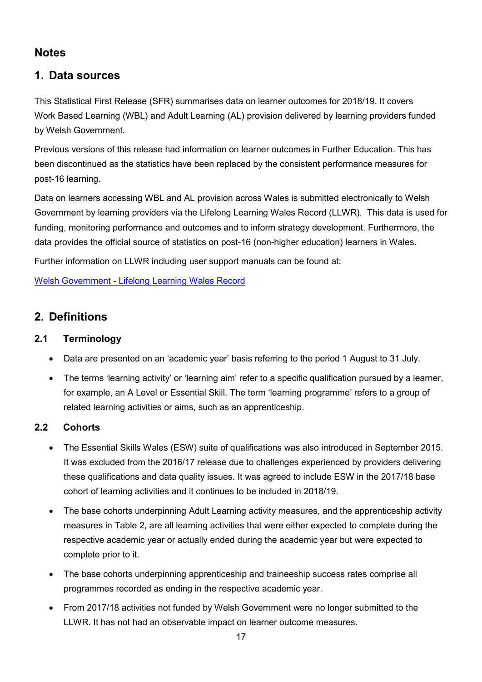# <span id="page-16-0"></span>**Notes**

# **1. Data sources**

This Statistical First Release (SFR) summarises data on learner outcomes for 2018/19. It covers Work Based Learning (WBL) and Adult Learning (AL) provision delivered by learning providers funded by Welsh Government.

Previous versions of this release had information on learner outcomes in Further Education. This has been discontinued as the statistics have been replaced by the consistent performance measures for post-16 learning.

Data on learners accessing WBL and AL provision across Wales is submitted electronically to Welsh Government by learning providers via the Lifelong Learning Wales Record (LLWR). This data is used for funding, monitoring performance and outcomes and to inform strategy development. Furthermore, the data provides the official source of statistics on post-16 (non-higher education) learners in Wales.

Further information on LLWR including user support manuals can be found at:

Welsh Government - [Lifelong Learning Wales Record](https://gov.wales/further-higher-education-data-collections)

# **2. Definitions**

### **2.1 Terminology**

- Data are presented on an 'academic year' basis referring to the period 1 August to 31 July.
- The terms 'learning activity' or 'learning aim' refer to a specific qualification pursued by a learner, for example, an A Level or Essential Skill. The term 'learning programme' refers to a group of related learning activities or aims, such as an apprenticeship.

# **2.2 Cohorts**

- The Essential Skills Wales (ESW) suite of qualifications was also introduced in September 2015. It was excluded from the 2016/17 release due to challenges experienced by providers delivering these qualifications and data quality issues. It was agreed to include ESW in the 2017/18 base cohort of learning activities and it continues to be included in 2018/19.
- The base cohorts underpinning Adult Learning activity measures, and the apprenticeship activity measures in Table 2, are all learning activities that were either expected to complete during the respective academic year or actually ended during the academic year but were expected to complete prior to it.
- The base cohorts underpinning apprenticeship and traineeship success rates comprise all programmes recorded as ending in the respective academic year.
- From 2017/18 activities not funded by Welsh Government were no longer submitted to the LLWR. It has not had an observable impact on learner outcome measures.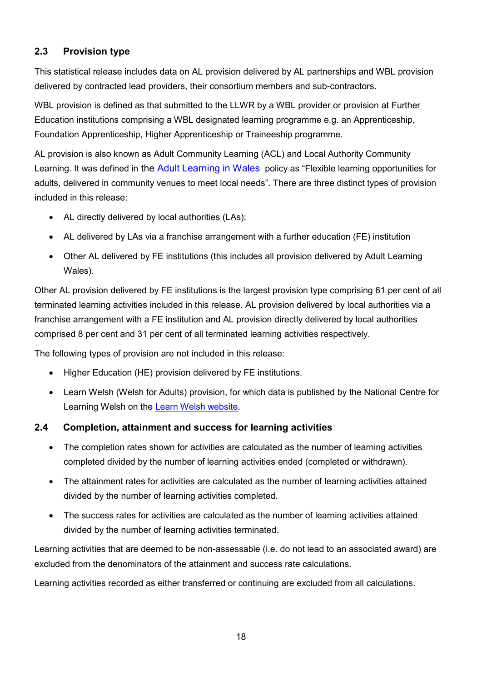# **2.3 Provision type**

This statistical release includes data on AL provision delivered by AL partnerships and WBL provision delivered by contracted lead providers, their consortium members and sub-contractors.

WBL provision is defined as that submitted to the LLWR by a WBL provider or provision at Further Education institutions comprising a WBL designated learning programme e.g. an Apprenticeship, Foundation Apprenticeship, Higher Apprenticeship or Traineeship programme.

AL provision is also known as Adult Community Learning (ACL) and Local Authority Community Learning. It was defined in the [Adult Learning in Wales](https://gov.wales/adult-learning-policy-statement) policy as "Flexible learning opportunities for adults, delivered in community venues to meet local needs". There are three distinct types of provision included in this release:

- AL directly delivered by local authorities (LAs);
- AL delivered by LAs via a franchise arrangement with a further education (FE) institution
- Other AL delivered by FE institutions (this includes all provision delivered by Adult Learning Wales).

Other AL provision delivered by FE institutions is the largest provision type comprising 61 per cent of all terminated learning activities included in this release. AL provision delivered by local authorities via a franchise arrangement with a FE institution and AL provision directly delivered by local authorities comprised 8 per cent and 31 per cent of all terminated learning activities respectively.

The following types of provision are not included in this release:

- Higher Education (HE) provision delivered by FE institutions.
- Learn Welsh (Welsh for Adults) provision, for which data is published by the National Centre for Learning Welsh on the [Learn Welsh website.](https://learnwelsh.cymru/about-us/statistics)

### **2.4 Completion, attainment and success for learning activities**

- The completion rates shown for activities are calculated as the number of learning activities completed divided by the number of learning activities ended (completed or withdrawn).
- The attainment rates for activities are calculated as the number of learning activities attained divided by the number of learning activities completed.
- The success rates for activities are calculated as the number of learning activities attained divided by the number of learning activities terminated.

Learning activities that are deemed to be non-assessable (i.e. do not lead to an associated award) are excluded from the denominators of the attainment and success rate calculations.

Learning activities recorded as either transferred or continuing are excluded from all calculations.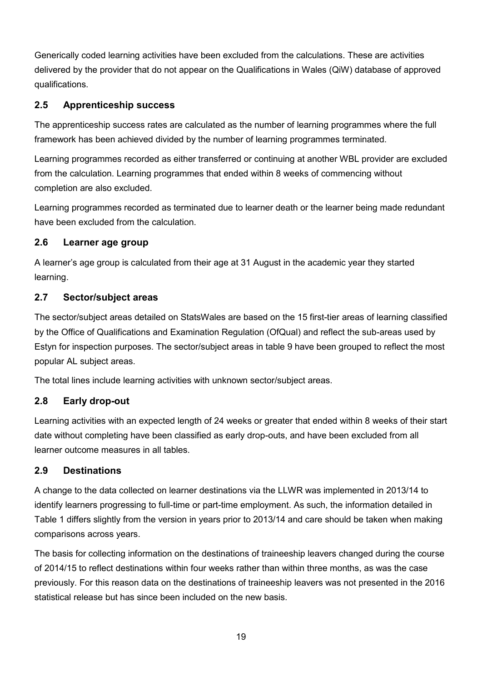Generically coded learning activities have been excluded from the calculations. These are activities delivered by the provider that do not appear on the Qualifications in Wales (QiW) database of approved qualifications.

### **2.5 Apprenticeship success**

The apprenticeship success rates are calculated as the number of learning programmes where the full framework has been achieved divided by the number of learning programmes terminated.

Learning programmes recorded as either transferred or continuing at another WBL provider are excluded from the calculation. Learning programmes that ended within 8 weeks of commencing without completion are also excluded.

Learning programmes recorded as terminated due to learner death or the learner being made redundant have been excluded from the calculation.

### **2.6 Learner age group**

A learner's age group is calculated from their age at 31 August in the academic year they started learning.

### **2.7 Sector/subject areas**

The sector/subject areas detailed on StatsWales are based on the 15 first-tier areas of learning classified by the Office of Qualifications and Examination Regulation (OfQual) and reflect the sub-areas used by Estyn for inspection purposes. The sector/subject areas in table 9 have been grouped to reflect the most popular AL subject areas.

The total lines include learning activities with unknown sector/subject areas.

# **2.8 Early drop-out**

Learning activities with an expected length of 24 weeks or greater that ended within 8 weeks of their start date without completing have been classified as early drop-outs, and have been excluded from all learner outcome measures in all tables.

### **2.9 Destinations**

A change to the data collected on learner destinations via the LLWR was implemented in 2013/14 to identify learners progressing to full-time or part-time employment. As such, the information detailed in Table 1 differs slightly from the version in years prior to 2013/14 and care should be taken when making comparisons across years.

The basis for collecting information on the destinations of traineeship leavers changed during the course of 2014/15 to reflect destinations within four weeks rather than within three months, as was the case previously. For this reason data on the destinations of traineeship leavers was not presented in the 2016 statistical release but has since been included on the new basis.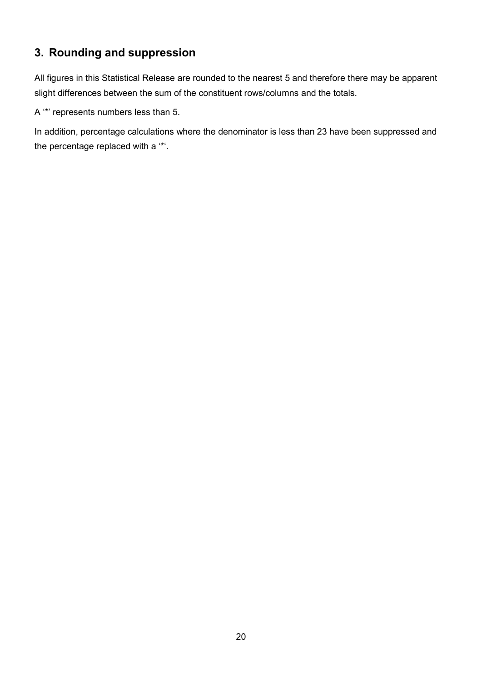# **3. Rounding and suppression**

All figures in this Statistical Release are rounded to the nearest 5 and therefore there may be apparent slight differences between the sum of the constituent rows/columns and the totals.

A '\*' represents numbers less than 5.

In addition, percentage calculations where the denominator is less than 23 have been suppressed and the percentage replaced with a '\*'.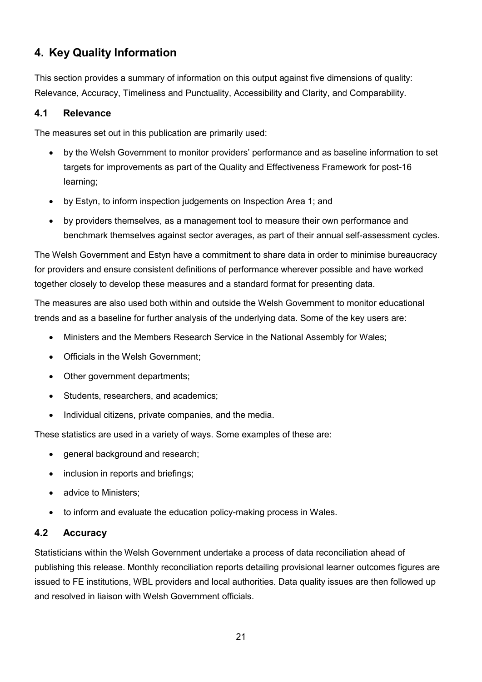# **4. Key Quality Information**

This section provides a summary of information on this output against five dimensions of quality: Relevance, Accuracy, Timeliness and Punctuality, Accessibility and Clarity, and Comparability.

### **4.1 Relevance**

The measures set out in this publication are primarily used:

- by the Welsh Government to monitor providers' performance and as baseline information to set targets for improvements as part of the Quality and Effectiveness Framework for post-16 learning;
- by Estyn, to inform inspection judgements on Inspection Area 1; and
- by providers themselves, as a management tool to measure their own performance and benchmark themselves against sector averages, as part of their annual self-assessment cycles.

The Welsh Government and Estyn have a commitment to share data in order to minimise bureaucracy for providers and ensure consistent definitions of performance wherever possible and have worked together closely to develop these measures and a standard format for presenting data.

The measures are also used both within and outside the Welsh Government to monitor educational trends and as a baseline for further analysis of the underlying data. Some of the key users are:

- Ministers and the Members Research Service in the National Assembly for Wales;
- Officials in the Welsh Government;
- Other government departments;
- Students, researchers, and academics;
- Individual citizens, private companies, and the media.

These statistics are used in a variety of ways. Some examples of these are:

- general background and research;
- inclusion in reports and briefings;
- advice to Ministers:
- to inform and evaluate the education policy-making process in Wales.

### **4.2 Accuracy**

Statisticians within the Welsh Government undertake a process of data reconciliation ahead of publishing this release. Monthly reconciliation reports detailing provisional learner outcomes figures are issued to FE institutions, WBL providers and local authorities. Data quality issues are then followed up and resolved in liaison with Welsh Government officials.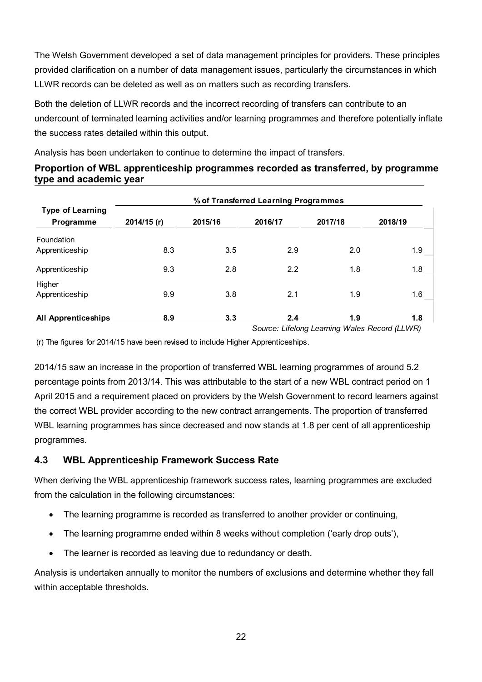The Welsh Government developed a set of data management principles for providers. These principles provided clarification on a number of data management issues, particularly the circumstances in which LLWR records can be deleted as well as on matters such as recording transfers.

Both the deletion of LLWR records and the incorrect recording of transfers can contribute to an undercount of terminated learning activities and/or learning programmes and therefore potentially inflate the success rates detailed within this output.

Analysis has been undertaken to continue to determine the impact of transfers.

| Proportion of WBL apprenticeship programmes recorded as transferred, by programme |
|-----------------------------------------------------------------------------------|
| type and academic year                                                            |
|                                                                                   |

|                            | % of Transferred Learning Programmes |         |         |         |         |  |  |  |  |  |
|----------------------------|--------------------------------------|---------|---------|---------|---------|--|--|--|--|--|
| <b>Type of Learning</b>    |                                      |         |         |         |         |  |  |  |  |  |
| <b>Programme</b>           | 2014/15 (r)                          | 2015/16 | 2016/17 | 2017/18 | 2018/19 |  |  |  |  |  |
| Foundation                 |                                      |         |         |         |         |  |  |  |  |  |
| Apprenticeship             | 8.3                                  | 3.5     | 2.9     | 2.0     | 1.9     |  |  |  |  |  |
| Apprenticeship             | 9.3                                  | 2.8     | 2.2     | 1.8     | 1.8     |  |  |  |  |  |
| Higher                     |                                      |         |         |         |         |  |  |  |  |  |
| Apprenticeship             | 9.9                                  | 3.8     | 2.1     | 1.9     | 1.6     |  |  |  |  |  |
| <b>All Apprenticeships</b> | 8.9                                  | 3.3     | 2.4     | 1.9     | 1.8     |  |  |  |  |  |

*Source: Lifelong Learning Wales Record (LLWR)*

(r) The figures for 2014/15 have been revised to include Higher Apprenticeships.

2014/15 saw an increase in the proportion of transferred WBL learning programmes of around 5.2 percentage points from 2013/14. This was attributable to the start of a new WBL contract period on 1 April 2015 and a requirement placed on providers by the Welsh Government to record learners against the correct WBL provider according to the new contract arrangements. The proportion of transferred WBL learning programmes has since decreased and now stands at 1.8 per cent of all apprenticeship programmes.

# **4.3 WBL Apprenticeship Framework Success Rate**

When deriving the WBL apprenticeship framework success rates, learning programmes are excluded from the calculation in the following circumstances:

- The learning programme is recorded as transferred to another provider or continuing,
- The learning programme ended within 8 weeks without completion ('early drop outs'),
- The learner is recorded as leaving due to redundancy or death.

Analysis is undertaken annually to monitor the numbers of exclusions and determine whether they fall within acceptable thresholds.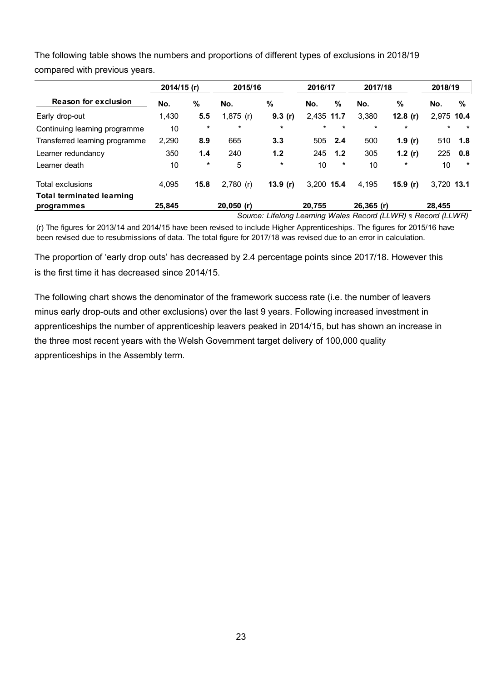|                                  | 2014/15 (r) |         | 2015/16      |         | 2016/17    |         | 2017/18      |            | 2018/19    |         |
|----------------------------------|-------------|---------|--------------|---------|------------|---------|--------------|------------|------------|---------|
| <b>Reason for exclusion</b>      | No.         | %       | No.          | %       | No.        | %       | No.          | %          | No.        | %       |
| Early drop-out                   | 1,430       | 5.5     | $1,875$ (r)  | 9.3(r)  | 2.435 11.7 |         | 3,380        | 12.8 $(r)$ | 2,975 10.4 |         |
| Continuing learning programme    | 10          | $\star$ | $\star$      | $\star$ | *          | $\star$ | $\star$      | $\star$    | $\star$    | $\star$ |
| Transferred learning programme   | 2,290       | 8.9     | 665          | 3.3     | 505        | 2.4     | 500          | 1.9 $(r)$  | 510        | 1.8     |
| Learner redundancy               | 350         | 1.4     | 240          | 1.2     | 245        | 1.2     | 305          | 1.2 $(r)$  | 225        | 0.8     |
| Learner death                    | 10          | $\star$ | 5            | $\star$ | 10         | $\star$ | 10           | $\ast$     | 10         | $\star$ |
| <b>Total exclusions</b>          | 4,095       | 15.8    | $2,780$ (r)  | 13.9(r) | 3.200 15.4 |         | 4,195        | 15.9 $(r)$ | 3,720 13.1 |         |
| <b>Total terminated learning</b> |             |         |              |         |            |         |              |            |            |         |
| programmes                       | 25,845      |         | $20,050$ (r) |         | 20.755     |         | $26,365$ (r) |            | 28.455     |         |

The following table shows the numbers and proportions of different types of exclusions in 2018/19 compared with previous years.

*Source: Lifelong Learning Wales Record (LLWR) s Record (LLWR)* 

(r) The figures for 2013/14 and 2014/15 have been revised to include Higher Apprenticeships. The figures for 2015/16 have been revised due to resubmissions of data. The total figure for 2017/18 was revised due to an error in calculation.

The proportion of 'early drop outs' has decreased by 2.4 percentage points since 2017/18. However this is the first time it has decreased since 2014/15.

The following chart shows the denominator of the framework success rate (i.e. the number of leavers minus early drop-outs and other exclusions) over the last 9 years. Following increased investment in apprenticeships the number of apprenticeship leavers peaked in 2014/15, but has shown an increase in the three most recent years with the Welsh Government target delivery of 100,000 quality apprenticeships in the Assembly term.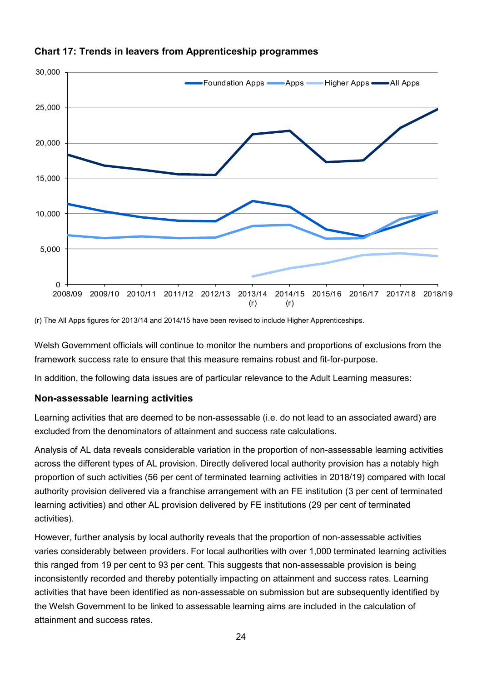

# **Chart 17: Trends in leavers from Apprenticeship programmes**

(r) The All Apps figures for 2013/14 and 2014/15 have been revised to include Higher Apprenticeships.

Welsh Government officials will continue to monitor the numbers and proportions of exclusions from the framework success rate to ensure that this measure remains robust and fit-for-purpose.

In addition, the following data issues are of particular relevance to the Adult Learning measures:

# **Non-assessable learning activities**

Learning activities that are deemed to be non-assessable (i.e. do not lead to an associated award) are excluded from the denominators of attainment and success rate calculations.

Analysis of AL data reveals considerable variation in the proportion of non-assessable learning activities across the different types of AL provision. Directly delivered local authority provision has a notably high proportion of such activities (56 per cent of terminated learning activities in 2018/19) compared with local authority provision delivered via a franchise arrangement with an FE institution (3 per cent of terminated learning activities) and other AL provision delivered by FE institutions (29 per cent of terminated activities).

However, further analysis by local authority reveals that the proportion of non-assessable activities varies considerably between providers. For local authorities with over 1,000 terminated learning activities this ranged from 19 per cent to 93 per cent. This suggests that non-assessable provision is being inconsistently recorded and thereby potentially impacting on attainment and success rates. Learning activities that have been identified as non-assessable on submission but are subsequently identified by the Welsh Government to be linked to assessable learning aims are included in the calculation of attainment and success rates.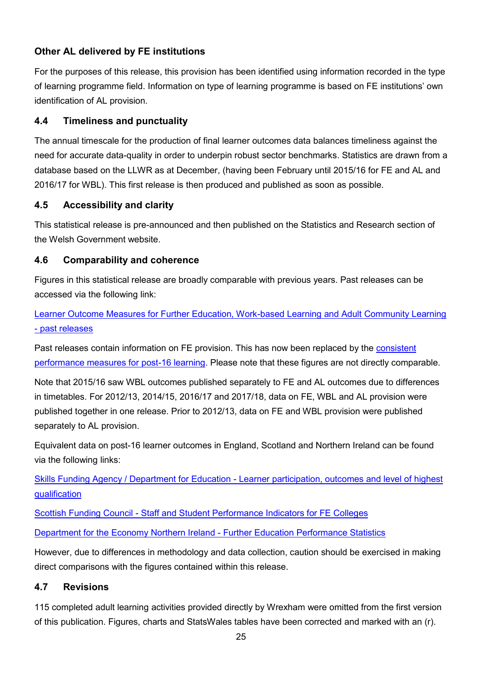### **Other AL delivered by FE institutions**

For the purposes of this release, this provision has been identified using information recorded in the type of learning programme field. Information on type of learning programme is based on FE institutions' own identification of AL provision.

### **4.4 Timeliness and punctuality**

The annual timescale for the production of final learner outcomes data balances timeliness against the need for accurate data-quality in order to underpin robust sector benchmarks. Statistics are drawn from a database based on the LLWR as at December, (having been February until 2015/16 for FE and AL and 2016/17 for WBL). This first release is then produced and published as soon as possible.

### **4.5 Accessibility and clarity**

This statistical release is pre-announced and then published on the Statistics and Research section of the Welsh Government website.

### **4.6 Comparability and coherence**

Figures in this statistical release are broadly comparable with previous years. Past releases can be accessed via the following link:

[Learner Outcome Measures for Further Education, Work-based Learning and Adult Community Learning](https://gov.wales/learner-outcome-measures-further-education-work-based-learning-and-adult-community-learning)  - [past releases](https://gov.wales/learner-outcome-measures-further-education-work-based-learning-and-adult-community-learning)

Past releases contain information on FE provision. This has now been replaced by the consistent [performance measures for post-16 learning.](https://gov.wales/consistent-performance-measures-post-16-learning-achievement-and-value-added) Please note that these figures are not directly comparable.

Note that 2015/16 saw WBL outcomes published separately to FE and AL outcomes due to differences in timetables. For 2012/13, 2014/15, 2016/17 and 2017/18, data on FE, WBL and AL provision were published together in one release. Prior to 2012/13, data on FE and WBL provision were published separately to AL provision.

Equivalent data on post-16 learner outcomes in England, Scotland and Northern Ireland can be found via the following links:

Skills Funding Agency / Department for Education - [Learner participation, outcomes and level of highest](https://www.gov.uk/government/statistics/further-education-and-skills-november-2017)  [qualification](https://www.gov.uk/government/statistics/further-education-and-skills-november-2017)

Scottish Funding Council - [Staff and Student Performance Indicators for FE Colleges](http://www.sfc.ac.uk/publications-statistics/statistics/statistics-colleges/college-performance-indicators/college-performance-indicators.aspx)

[Department for the Economy Northern Ireland -](https://www.economy-ni.gov.uk/topics/statistics-and-economic-research/further-education-statistics-and-research) Further Education Performance Statistics

However, due to differences in methodology and data collection, caution should be exercised in making direct comparisons with the figures contained within this release.

# **4.7 Revisions**

115 completed adult learning activities provided directly by Wrexham were omitted from the first version of this publication. Figures, charts and StatsWales tables have been corrected and marked with an (r).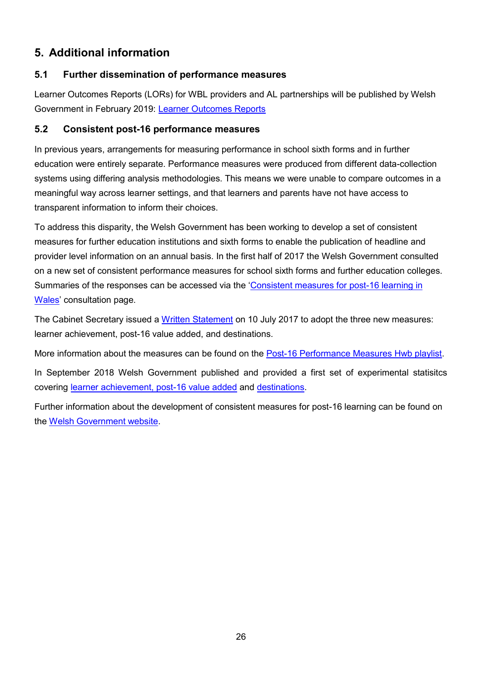# **5. Additional information**

### **5.1 Further dissemination of performance measures**

Learner Outcomes Reports (LORs) for WBL providers and AL partnerships will be published by Welsh Government in February 2019: [Learner Outcomes Reports](https://gov.wales/learner-outcome-measures-further-education-work-based-learning-and-adult-community-learning)

### **5.2 Consistent post-16 performance measures**

In previous years, arrangements for measuring performance in school sixth forms and in further education were entirely separate. Performance measures were produced from different data-collection systems using differing analysis methodologies. This means we were unable to compare outcomes in a meaningful way across learner settings, and that learners and parents have not have access to transparent information to inform their choices.

To address this disparity, the Welsh Government has been working to develop a set of consistent measures for further education institutions and sixth forms to enable the publication of headline and provider level information on an annual basis. In the first half of 2017 the Welsh Government consulted on a new set of consistent performance measures for school sixth forms and further education colleges. Summaries of the responses can be accessed via the '[Consistent measures for post-16 learning in](https://gov.wales/consistent-measures-post-16-learning-wales)  [Wales](https://gov.wales/consistent-measures-post-16-learning-wales)' consultation page.

The Cabinet Secretary issued a [Written Statement](https://gov.wales/written-statement-new-performance-measures-post-16-learning) on 10 July 2017 to adopt the three new measures: learner achievement, post-16 value added, and destinations.

More information about the measures can be found on the [Post-16 Performance Measures Hwb playlist.](https://hwb.gov.wales/playlists/view/dcd4b8f7-f5cf-4789-8e70-f6751bfa46bc/en/2)

In September 2018 Welsh Government published and provided a first set of experimental statisitcs covering [learner achievement, post-16 value added](https://gov.wales/consistent-performance-measures-post-16-learning-achievement-and-value-added) and [destinations.](https://gov.wales/consistent-performance-measures-post-16-learning-learner-destinations-august-2015-july-2016)

Further information about the development of consistent measures for post-16 learning can be found on the [Welsh Government website.](https://gov.wales/consistent-post-16-performance-measures-overview)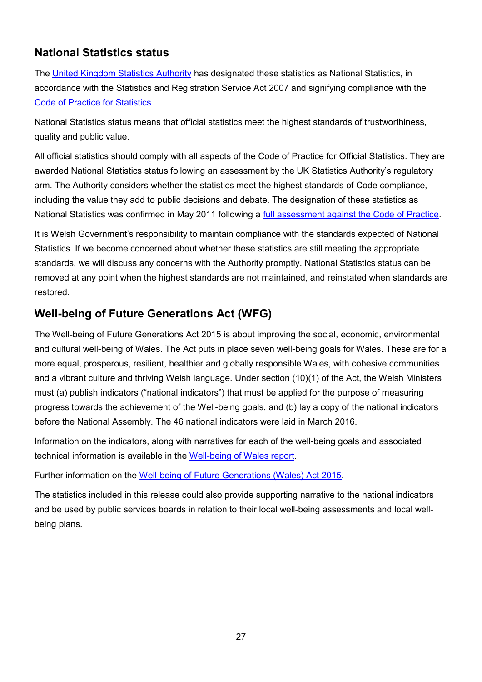# **National Statistics status**

The [United Kingdom Statistics Authority](https://www.statisticsauthority.gov.uk/) has designated these statistics as National Statistics, in accordance with the Statistics and Registration Service Act 2007 and signifying compliance with the [Code of Practice for Statistics.](https://www.statisticsauthority.gov.uk/monitoring-and-assessment/code-of-practice/)

National Statistics status means that official statistics meet the highest standards of trustworthiness, quality and public value.

All official statistics should comply with all aspects of the Code of Practice for Official Statistics. They are awarded National Statistics status following an assessment by the UK Statistics Authority's regulatory arm. The Authority considers whether the statistics meet the highest standards of Code compliance, including the value they add to public decisions and debate. The designation of these statistics as National Statistics was confirmed in May 2011 following a [full assessment against the Code of Practice.](https://www.statisticsauthority.gov.uk/publication/statistics-on-further-education-and-cross-cutting-education-in-wales/)

It is Welsh Government's responsibility to maintain compliance with the standards expected of National Statistics. If we become concerned about whether these statistics are still meeting the appropriate standards, we will discuss any concerns with the Authority promptly. National Statistics status can be removed at any point when the highest standards are not maintained, and reinstated when standards are restored.

# **Well-being of Future Generations Act (WFG)**

The Well-being of Future Generations Act 2015 is about improving the social, economic, environmental and cultural well-being of Wales. The Act puts in place seven well-being goals for Wales. These are for a more equal, prosperous, resilient, healthier and globally responsible Wales, with cohesive communities and a vibrant culture and thriving Welsh language. Under section (10)(1) of the Act, the Welsh Ministers must (a) publish indicators ("national indicators") that must be applied for the purpose of measuring progress towards the achievement of the Well-being goals, and (b) lay a copy of the national indicators before the National Assembly. The 46 national indicators were laid in March 2016.

Information on the indicators, along with narratives for each of the well-being goals and associated technical information is available in the [Well-being of Wales report.](https://gov.wales/well-being-wales)

Further information on the [Well-being of Future Generations \(Wales\) Act 2015.](http://gov.wales/topics/people-and-communities/people/future-generations-act)

The statistics included in this release could also provide supporting narrative to the national indicators and be used by public services boards in relation to their local well-being assessments and local wellbeing plans.